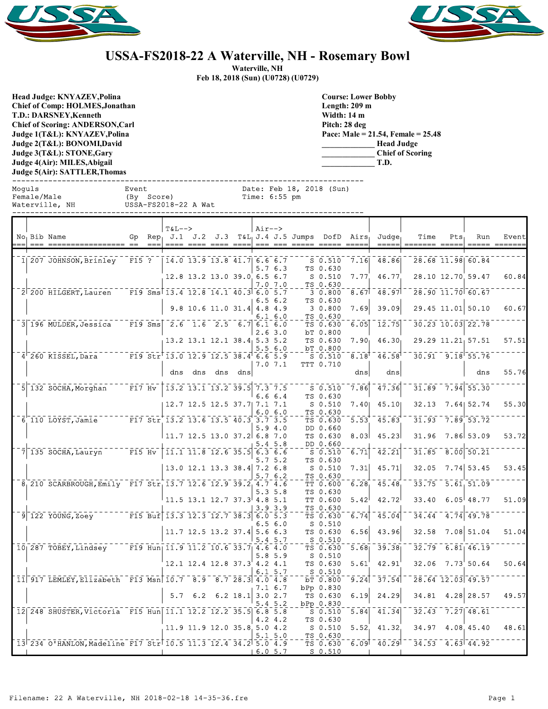



## **USSA-FS2018-22 A Waterville, NH - Rosemary Bowl**

**Waterville, NH**

**Feb 18, 2018 (Sun) (U0728) (U0729)**

**Head Judge: KNYAZEV,Polina Chief of Comp: HOLMES,Jonathan T.D.: DARSNEY,Kenneth Chief of Scoring: ANDERSON,Carl Judge 1(T&L): KNYAZEV,Polina Judge 2(T&L): BONOMI,David Judge 3(T&L): STONE,Gary Judge 4(Air): MILES,Abigail Judge 5(Air): SATTLER,Thomas** 

**Course: Lower Bobby Length: 209 m Width: 14 m Pitch: 28 deg Pace: Male = 21.54, Female = 25.48 \_\_\_\_\_\_\_\_\_\_\_\_\_ Head Judge \_\_\_\_\_\_\_\_\_\_\_\_\_ Chief of Scoring \_\_\_\_\_\_\_\_\_\_\_\_\_ T.D.**

|        | э uugu ¬(лн ). мнивэ,логдан<br>1.D.<br>Judge 5(Air): SATTLER,Thomas |                                                              |                     |           |                                                              |  |                                                                                                           |                                                                                                                                                                                                                                                                                                                                                                                                                                     |                 |                   |                                           |                                      |                   |                             |                   |     |                                              |       |
|--------|---------------------------------------------------------------------|--------------------------------------------------------------|---------------------|-----------|--------------------------------------------------------------|--|-----------------------------------------------------------------------------------------------------------|-------------------------------------------------------------------------------------------------------------------------------------------------------------------------------------------------------------------------------------------------------------------------------------------------------------------------------------------------------------------------------------------------------------------------------------|-----------------|-------------------|-------------------------------------------|--------------------------------------|-------------------|-----------------------------|-------------------|-----|----------------------------------------------|-------|
| Moquls | Female/Male                                                         | Waterville, NH                                               | Event<br>(By Score) |           | USSA-FS2018-22 A Wat                                         |  |                                                                                                           |                                                                                                                                                                                                                                                                                                                                                                                                                                     | Time: $6:55$ pm |                   | Date: Feb 18, 2018 (Sun)                  |                                      |                   |                             |                   |     |                                              |       |
|        |                                                                     | No Bib Name                                                  | Gp<br>$=$ $=$       | $= -$     | $T&L--$<br>$Rep_1$ J.1 J.2 J.3                               |  |                                                                                                           | $\begin{array}{cccccc} \texttt{m} & \texttt{m} & \texttt{m} & \texttt{m} & \texttt{m} & \texttt{m} & \texttt{m} & \texttt{m} & \texttt{m} & \texttt{m} & \texttt{m} & \texttt{m} & \texttt{m} & \texttt{m} & \texttt{m} & \texttt{m} & \texttt{m} & \texttt{m} & \texttt{m} & \texttt{m} & \texttt{m} & \texttt{m} & \texttt{m} & \texttt{m} & \texttt{m} & \texttt{m} & \texttt{m} & \texttt{m} & \texttt{m} & \texttt{m} & \text$ | $Air--$         |                   | $T_{\alpha L_1} J.4 J.5 Jumps Dofb Airs1$ |                                      |                   | Judge                       | Time              | Pts | Run                                          | Event |
|        |                                                                     | 1 207 JOHNSON, Brinley                                       | $F15$ ?             |           |                                                              |  | $14.0$ $13.9$ $13.8$ $41.7$ 6.6 6.7                                                                       |                                                                                                                                                                                                                                                                                                                                                                                                                                     |                 |                   |                                           | $S_0.510$<br>TS 0.630                | 7.16              | 48.86                       |                   |     | 28.68 11.98 60.84                            |       |
|        |                                                                     |                                                              |                     |           |                                                              |  | 12.8 13.2 13.0 39.0 6.5 6.7                                                                               |                                                                                                                                                                                                                                                                                                                                                                                                                                     |                 | 5.76.3<br>7.0 7.0 |                                           | $S$ 0.510<br>TS 0.630                | 7.77              | 46.77                       |                   |     | 28.10 12.70 59.47                            | 60.84 |
|        |                                                                     | $2^{\dagger}$ 200 HILGERT, Lauren                            |                     |           | F19 Sms $13.4$ 12.8 14.1 40.3 6.0 5.7                        |  |                                                                                                           |                                                                                                                                                                                                                                                                                                                                                                                                                                     |                 | 6.56.2            |                                           | 30.800<br>TS 0.630                   | 8.67              | 48.97                       |                   |     | 28.90 11.70 60.67                            |       |
|        |                                                                     | 3 196 MULDER, Jessica                                        |                     | $F19$ Sms |                                                              |  | $9.8$ 10.6 11.0 31.4 4.8 4.9<br>$2.6$ 1.6 2.5 6.7 6.1 6.0                                                 |                                                                                                                                                                                                                                                                                                                                                                                                                                     |                 | $6.1\,6.0$        |                                           | 30.800<br>TS 0.630<br>TS 0.630       | 7.69<br>6.05      | 39.09<br>$\overline{12.75}$ |                   |     | 29.45 11.01 50.10<br>$30.23$ $10.03$ $22.78$ | 60.67 |
|        |                                                                     |                                                              |                     |           |                                                              |  | 13.2 13.1 12.1 38.4 5.3 5.2                                                                               |                                                                                                                                                                                                                                                                                                                                                                                                                                     |                 | 2.63.0            |                                           | bT 0.800<br>TS 0.630                 | 7.90 <sub>1</sub> | 46.30 <sub>1</sub>          |                   |     | 29.29 11.21 57.51                            | 57.51 |
|        |                                                                     | $4^{\dagger}$ 260 KISSEL, Dara                               |                     |           | F19 Str <sup><math>-13.0</math></sup> 12.9 12.5 38.4 6.6 5.9 |  |                                                                                                           |                                                                                                                                                                                                                                                                                                                                                                                                                                     |                 | 5.56.0            |                                           | bT 0.800<br>$S_0.510$                | 8.18              | 46.58                       |                   |     | $30.91 - 9.18$ 55.76                         |       |
|        |                                                                     |                                                              |                     |           |                                                              |  | dns dns dns dns                                                                                           |                                                                                                                                                                                                                                                                                                                                                                                                                                     |                 | 7.07.1            |                                           | TTT 0.710                            | dns               | dns                         |                   |     | dns                                          | 55.76 |
|        |                                                                     | $5$   132 SOCHA, Morghan                                     | $\overline{F17}$ Hv |           |                                                              |  | $-13.2$ 13.1 13.2 39.5 7.3 7.5                                                                            |                                                                                                                                                                                                                                                                                                                                                                                                                                     |                 | 6.66.4            |                                           | $S$ 0.510<br>TS 0.630                | 7.86              | 47.36                       |                   |     | $31.89 - 7.94 - 55.30$                       |       |
|        |                                                                     | 6 110 LOYST, Jamie                                           |                     |           | F17 Str 13.2 13.6 13.5 40.3 3.7 3.5                          |  | 12.7 12.5 12.5 37.7 7.1 7.1                                                                               |                                                                                                                                                                                                                                                                                                                                                                                                                                     |                 | 6.06.0            |                                           | $S$ 0.510<br>TS 0.630                | 7.40<br>5.53      | 45.10<br>45.83              | 32.13             |     | 7.64 52.74<br>$31.93$ 7.89 53.72             | 55.30 |
|        |                                                                     |                                                              |                     |           |                                                              |  | 11.7 12.5 13.0 37.2 6.8 7.0                                                                               |                                                                                                                                                                                                                                                                                                                                                                                                                                     |                 | 5.94.0            |                                           | TS 0.630<br>DD 0.660<br>TS 0.630     | 8.03              | 45.23                       | 31.96             |     | 7.86 53.09                                   | 53.72 |
|        |                                                                     | $7 135$ SOCHA, Lauryn                                        | $F15$ Hv            |           |                                                              |  | $\overline{11.1}$ $\overline{11.8}$ $\overline{12.6}$ $\overline{35.5}$ $\overline{6.3}$ $\overline{6.6}$ |                                                                                                                                                                                                                                                                                                                                                                                                                                     |                 | 5.4 5.8           |                                           | DD 0.660<br>$S$ 0.510                | 6.71              | 42.21                       |                   |     | $31.85 - 8.00$ 50.21                         |       |
|        |                                                                     |                                                              |                     |           |                                                              |  | $13.0$ 12.1 13.3 38.4 7.2 6.8                                                                             |                                                                                                                                                                                                                                                                                                                                                                                                                                     |                 | 5.75.2<br>5.76.2  |                                           | TS 0.630<br>$S$ 0.510<br>TS 0.630    | 7.31              | 45.71                       | 32.05             |     | $7.74$ 53.45                                 | 53.45 |
|        |                                                                     | 8 210 SCARBROUGH, Emily F17 Str 13.7 12.6 12.9 39.2 4.7 4.6  |                     |           |                                                              |  |                                                                                                           |                                                                                                                                                                                                                                                                                                                                                                                                                                     |                 | 5.3 5.8           |                                           | TT 0.600<br>TS 0.630                 | 6.28              | 45.48                       |                   |     | $33.75 - 5.61$ 51.09                         |       |
|        |                                                                     | $9 122$ YOUNG, Zoey                                          |                     |           | F15 Buf 13.3 12.3 12.7 38.3 6.0 5.3                          |  | $11.5$ 13.1 12.7 37.3 4.8 5.1                                                                             |                                                                                                                                                                                                                                                                                                                                                                                                                                     |                 | 3.93.9            |                                           | TT 0.600<br>TS 0.630<br>TS 0.630     | 5.42<br>6.74      | 42.72<br>45.04              | 33.40             |     | $6.05^{+}48.77$<br>$34.44$ $4.74$ $49.78$    | 51.09 |
|        |                                                                     |                                                              |                     |           |                                                              |  | $11.7$ 12.5 13.2 37.4 5.6 6.3                                                                             |                                                                                                                                                                                                                                                                                                                                                                                                                                     |                 | 6.5 6.0           |                                           | $S_0.510$<br>TS 0.630                | 6.56              | 43.96                       | 32.58             |     | $7.08$ 51.04                                 | 51.04 |
|        |                                                                     | 10 287 TOBEY, Lindsey                                        |                     |           | $\overline{F19}$ Hun  11.9 11.2 10.6 33.7  4.6 4.0           |  |                                                                                                           |                                                                                                                                                                                                                                                                                                                                                                                                                                     |                 | 5.4 5.7           |                                           | $S_0.510$<br>TS 0.630                | 5.68              | 39.38                       |                   |     | $32.79 - 6.81$ 46.19                         |       |
|        |                                                                     |                                                              |                     |           |                                                              |  | $12.1$ $12.4$ $12.8$ $37.3$ $4.2$ $4.1$                                                                   |                                                                                                                                                                                                                                                                                                                                                                                                                                     | $6.1\;\;5.7$    | 5.8 5.9           |                                           | $S$ $0.510$<br>TS 0.630<br>$S$ 0.510 | 5.61'             | 42.91                       |                   |     | 32.06 7.73 50.64                             | 50.64 |
|        |                                                                     | 11 917 LEMLEY, Elizabeth F13 Msn 10.7 8.9 8.7 28.3 4.0 4.8   |                     |           |                                                              |  |                                                                                                           |                                                                                                                                                                                                                                                                                                                                                                                                                                     |                 | 7.1 6.7           |                                           | bT 0.800<br>bPp 0.830                |                   | $9.24$ 37.54                | 28.64 12.03 49.57 |     |                                              |       |
|        |                                                                     | 12 248 SHUSTER, Victoria F15 Hun 11.1 12.2 12.2 35.5 6.8 5.8 |                     |           |                                                              |  | $5.7 \t6.2 \t6.2 \t18.1 \t3.0 \t2.7$                                                                      |                                                                                                                                                                                                                                                                                                                                                                                                                                     |                 | 5.45.2            |                                           | TS 0.630<br>bPp 0.830<br>$S_0.510$   | 6.19<br>5.84      | 24.29<br>41.34              |                   |     | 34.81 4.28 28.57<br>$32.43 - 7.27$ 48.61     | 49.57 |
|        |                                                                     |                                                              |                     |           |                                                              |  | 11.9 11.9 12.0 35.8 5.0 4.2                                                                               |                                                                                                                                                                                                                                                                                                                                                                                                                                     |                 | 4.24.2            |                                           | TS 0.630<br>S 0.510                  | 5.52              | 41.32                       |                   |     | 34.97 4.08 45.40                             | 48.61 |
|        |                                                                     |                                                              |                     |           |                                                              |  |                                                                                                           |                                                                                                                                                                                                                                                                                                                                                                                                                                     |                 | $5.1 - 5.0$       |                                           | TS 0.630                             |                   |                             |                   |     |                                              |       |

13 234 O'HANLON, Madeline F17 Str 10.5 11.3 12.4 34.2 5.0 4.9 TS 0.630 6.09 40.29 34.53 4.63 44.92

 $T_S - 0.630$ <br>TS 0.630

 $S$  0.510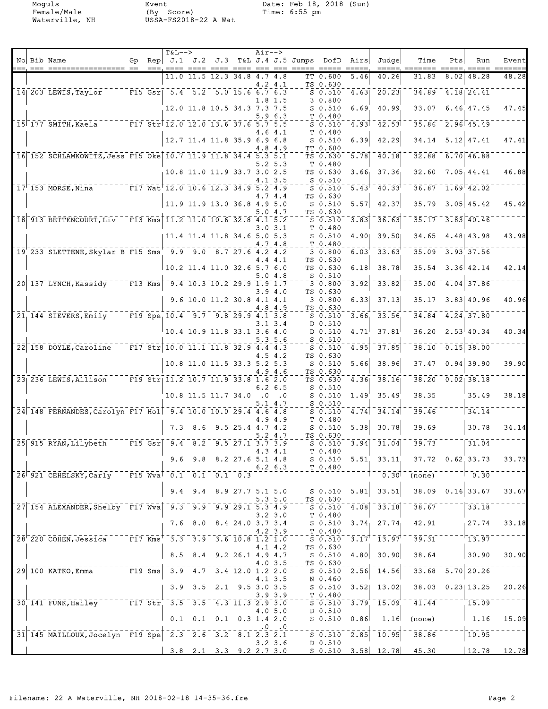Moguls Event Date: Feb 18, 2018 (Sun) Female/Male (By Score) Time: 6:55 pm Waterville, NH USSA-FS2018-22 A Wat

| $==$ | No Bib Name<br>=== ================== ==                              | Gp                | $== =$ | $T&L-->$ |     | ---- ---- ---- ---  | Air-->                                                                                                                                                                                         | $== =$ | Rep $J.1$ J.2 J.3 T&L J.4 J.5 Jumps DofD Airs<br>$\qquad \qquad \qquad \qquad \qquad \qquad \qquad \qquad$ | $\qquad \qquad = \qquad \qquad = \qquad$                              | $=$ $=$ $=$ $=$ $=$ | Judgel                             | Time<br>=====, =====                                                                                                                      | Pts  | Run                      | Event<br>==== |
|------|-----------------------------------------------------------------------|-------------------|--------|----------|-----|---------------------|------------------------------------------------------------------------------------------------------------------------------------------------------------------------------------------------|--------|------------------------------------------------------------------------------------------------------------|-----------------------------------------------------------------------|---------------------|------------------------------------|-------------------------------------------------------------------------------------------------------------------------------------------|------|--------------------------|---------------|
|      |                                                                       |                   |        |          |     | 11.0 11.5 12.3 34.8 | 4.7 4.8<br>4.2 4.1                                                                                                                                                                             |        |                                                                                                            | TT 0.600<br>TS 0.630                                                  | 5.46                | 40.26                              | 31.83                                                                                                                                     | 8.02 | 48.28                    | 48.28         |
|      | 14 203 LEWIS, Taylor                                                  |                   |        |          |     |                     | F15 Gsr  $5.4$ $5.2$ $5.0$ $15.6$ $6.7$ $6.3$<br>1.8 1.5                                                                                                                                       |        |                                                                                                            | $S_0.510$                                                             | 4.63                | 20.23                              | 34.89                                                                                                                                     |      | $4.18$ 24.41             |               |
|      |                                                                       |                   |        |          |     |                     | 12.0 11.8 10.5 34.3 7.3 7.5                                                                                                                                                                    |        |                                                                                                            | 3 0.800<br>$S$ $0.510$                                                | 6.69                | 40.99                              | 33.07                                                                                                                                     |      | 6.46 47.45               | 47.45         |
|      | 15 177 SMITH, Kaela                                                   |                   |        |          |     |                     | 5.96.3<br>F17 Str $12.0$ 12.0 13.6 37.6 5.7 5.5                                                                                                                                                |        |                                                                                                            | T 0.480<br>$S_0.510$                                                  | 4.93                | 42.53                              | 35.86                                                                                                                                     |      | $2.96$ 45.49             |               |
|      |                                                                       |                   |        |          |     |                     | 4.6 4.1<br>12.7 11.4 11.8 35.9 6.9 6.8                                                                                                                                                         |        |                                                                                                            | T <sub>0.480</sub><br>$S$ $0.510$                                     | 6.39                | 42.29                              | 34.14                                                                                                                                     |      | $5.12$ 47.41             | 47.41         |
|      | 16 152 SCHLAMKOWITZ, Jess F15 Oke 10.7 11.9 11.8 34.4 5.3 5.1         |                   |        |          |     |                     | 4.8 4.9                                                                                                                                                                                        |        |                                                                                                            | TT 0.600<br>TS 0.630                                                  | 5.78                | 40.18                              | 32.88                                                                                                                                     |      | $6.70$ 46.88             |               |
|      |                                                                       |                   |        |          |     |                     | $5.2\;5.3$<br>$10.8$ 11.0 11.9 33.7 3.0 2.5                                                                                                                                                    |        |                                                                                                            | T 0.480<br>TS 0.630                                                   | 3.66 <sub>1</sub>   | 37.36                              | 32.60                                                                                                                                     |      | 7.05, 44.41              | 46.88         |
|      | $17'$ 153 MORSE, Nina                                                 |                   |        |          |     |                     | 4.1 3.5<br>F17 Wat $12.0$ 10.6 12.3 34.9 5.2 4.9                                                                                                                                               |        |                                                                                                            | $S_0.510$<br>$S_0.510$                                                | 5.43                | 40.33                              | 36.87                                                                                                                                     |      | 1.69 42.02               |               |
|      |                                                                       |                   |        |          |     |                     | 4.7 4.4                                                                                                                                                                                        |        |                                                                                                            | TS 0.630                                                              |                     |                                    |                                                                                                                                           |      |                          |               |
|      |                                                                       |                   |        |          |     |                     | 11.9 11.9 13.0 36.8 4.9 5.0<br>5.0 4.7                                                                                                                                                         |        |                                                                                                            | $S_0.510$<br>TS 0.630                                                 | 5.57                | 42.37                              | 35.79                                                                                                                                     |      | $3.05$ 45.42             | 45.42         |
|      | 18 913 BETTENCOURT, Liv F13 Kms 11.2 11.0 10.6 32.8 4.1 5.2           |                   |        |          |     |                     | 3.03.1                                                                                                                                                                                         |        |                                                                                                            | $S$ 0.510<br>T 0.480                                                  | 3.83                | 36.63                              | 35.17                                                                                                                                     |      | $3.83$ $40.46$           |               |
|      |                                                                       |                   |        |          |     |                     | 11.4 11.4 11.8 34.6 5.0 5.3<br>4.7 4.8                                                                                                                                                         |        |                                                                                                            | $S$ 0.510<br>T 0.480                                                  |                     | 4.90 39.50                         | 34.65                                                                                                                                     |      | 4.48 43.98               | 43.98         |
|      | 19 233 SLETTENE, Skylar B F15 Sms 9.9 9.0 8.7 27.6 4.2 4.2            |                   |        |          |     |                     | 4.4 4.1                                                                                                                                                                                        |        |                                                                                                            | 3 0.800<br>TS 0.630                                                   | 6.03                | 33.63                              | 35.09                                                                                                                                     |      | $-3.93 - 37.56$          |               |
|      |                                                                       |                   |        |          |     |                     | 10.2 11.4 11.0 32.6 5.7 6.0                                                                                                                                                                    |        |                                                                                                            | TS 0.630                                                              | 6.18                | 38.78                              | 35.54                                                                                                                                     |      | 3.36 42.14               | 42.14         |
|      | 20 137 LYNCH, Kassidy                                                 | $ \bar{F}$ 13 Kms |        |          |     |                     | 5.04.8<br>$\overline{5}$ ,4 $\overline{10}$ , $\overline{3}$ $\overline{10}$ , $\overline{2}$ $\overline{29}$ , $\overline{9}$ $\overline{1}$ , $\overline{9}$ $\overline{1}$ , $\overline{7}$ |        |                                                                                                            | $S_0.510$<br>3 0.800                                                  | 3.92                | 33.82                              | 35.00                                                                                                                                     |      | $4.04$ 37.86             |               |
|      |                                                                       |                   |        |          |     |                     | 3.94.0<br>9.6 10.0 11.2 30.8 4.1 4.1                                                                                                                                                           |        |                                                                                                            | TS 0.630<br>3 0.800                                                   | 6.33                | 37.13                              | 35.17                                                                                                                                     |      | $3.83$ 40.96             | 40.96         |
|      | 21, 144 SIEVERS, Emily                                                |                   |        |          |     |                     | 4.8 4.9<br>F19 Spe $10.4$ 9.7 9.8 29.9 4.1 3.8                                                                                                                                                 |        |                                                                                                            | TS 0.630<br>$S_0.510$                                                 | 3.66                | 33.56                              | 34.84                                                                                                                                     |      | 4.24, 37.80              |               |
|      |                                                                       |                   |        |          |     |                     | 3.13.4<br>$10.4$ 10.9 11.8 33.1 3.6 4.0                                                                                                                                                        |        |                                                                                                            | D 0.510<br>D 0.510                                                    | 4.71                | 37.81                              | 36.20                                                                                                                                     |      | $2.53$ 40.34             | 40.34         |
|      | 22 158 DOYLE, Caroline                                                |                   |        |          |     |                     | 5.3 5.6<br>F17 Str 10.0 11.1 11.8 32.9 4.4 4.3                                                                                                                                                 |        |                                                                                                            | S <sub>0.510</sub><br>$S$ 0.510                                       | 4.95                | 37.85                              | 38.10                                                                                                                                     |      | $0.15$ 38.00             |               |
|      |                                                                       |                   |        |          |     |                     | 4.5 4.2                                                                                                                                                                                        |        |                                                                                                            | TS 0.630                                                              |                     |                                    |                                                                                                                                           |      |                          |               |
|      |                                                                       |                   |        |          |     |                     | 10.8 11.0 11.5 33.3 5.2 5.3<br>4.9 4.6                                                                                                                                                         |        |                                                                                                            | $S$ 0.510<br>TS 0.630                                                 | 5.66                | 38.96                              | 37.47                                                                                                                                     |      | $0.94$ 39.90             | 39.90         |
|      | 23 236 LEWIS, Allison                                                 |                   |        |          |     |                     | F19 Str 11.2 10.7 11.9 33.8 1.6 2.0<br>$6.2\;6.5$                                                                                                                                              |        |                                                                                                            | TS 0.630<br>$S$ 0.510                                                 | 4.36                | 38.16                              | 38.20                                                                                                                                     |      | $0.02$ <sup>-38.18</sup> |               |
|      |                                                                       |                   |        |          |     | 10.8 11.5 11.7 34.0 | .0<br>5.1 4.7                                                                                                                                                                                  | .0     |                                                                                                            | $S_0.510$<br>$S_0.510$                                                | 1.49                | 35.49                              | 38.35                                                                                                                                     |      | 35.49                    | 38.18         |
|      | 24 148 FERNANDES, Carolyn F17 Hol 9.4 10.0 10.0 29.4 4.6 4.8          |                   |        |          |     |                     | 4.9 4.9                                                                                                                                                                                        |        |                                                                                                            | $S$ 0.510<br>T 0.480                                                  | 4.74                | 34.14                              | 39.46                                                                                                                                     |      | 34.14                    |               |
|      |                                                                       |                   |        | 7.3      | 8.6 |                     | $9.5$ 25.4 4.7 4.2<br>5.2 4.7                                                                                                                                                                  |        |                                                                                                            | $S_0.510$<br>TS 0.630                                                 | 5.38                | 30.78                              | 39.69                                                                                                                                     |      | 30.78                    | 34.14         |
|      | 25 915 RYAN, Lilybeth                                                 |                   |        |          |     |                     | F15 Gsr $9.4$ 8.2 9.5 27.1 3.7 3.9                                                                                                                                                             |        |                                                                                                            | $S$ $0.510$                                                           | $\overline{3.94}$   | $-31.04$                           | 39.73                                                                                                                                     |      | 31.04                    |               |
|      |                                                                       |                   |        |          |     |                     | 4.34.1<br>9.6 9.8 8.2 27.6 5.1 4.8                                                                                                                                                             |        |                                                                                                            | T 0.480<br>$S_0.510$                                                  |                     |                                    | $5.51$ $33.11$ $37.72$ $0.62$ $33.73$                                                                                                     |      |                          | 33.73         |
|      | 26 921 CEHELSKY, Carly F15 Wva 0.1 0.1 0.1 0.1                        |                   |        |          |     |                     | $6.2\;6.3$                                                                                                                                                                                     |        |                                                                                                            | T 0.480                                                               |                     |                                    | $\overline{0.30}$ (none) $\overline{0.30}$                                                                                                |      |                          |               |
|      |                                                                       |                   |        |          |     |                     | 9.4 9.4 8.9 27.7 5.1 5.0                                                                                                                                                                       |        | $S_0.510$                                                                                                  |                                                                       | 5.81                |                                    | $33.51$ $38.09$ $0.16$ $33.67$                                                                                                            |      |                          | 33.67         |
|      | 27 154 ALEXANDER, Shelby F17 Wva 9.3 9.9 9.9 29.1 5.3 4.9             |                   |        |          |     |                     | 5.35.0                                                                                                                                                                                         |        |                                                                                                            | TS 0.630<br>$\overline{\phantom{a}}$ s $\overline{\phantom{a}}$ o.510 |                     | $-4.08$ $-33.18$                   | $-$ 38.67 $  -$                                                                                                                           |      | $\frac{1}{33.18}$        |               |
|      |                                                                       |                   |        |          |     |                     | 3.23.0<br>7.6 8.0 8.4 24.0 3.7 3.4                                                                                                                                                             |        |                                                                                                            | T 0.480<br>$S_0.510$                                                  |                     |                                    | $3.74$ 27.74 42.91 27.74                                                                                                                  |      |                          | 33.18         |
|      | 28 220 COHEN, Jessica F17 Kms 3.3 3.9 3.6 10.8 1.2 1.0                |                   |        |          |     |                     | 4.2 3.9                                                                                                                                                                                        |        |                                                                                                            | T 0.480                                                               |                     |                                    | $S = 50.510 - 3.17$ <sup>+</sup> $13.97$ <sup>+</sup> $-39.31$                                                                            |      |                          |               |
|      |                                                                       |                   |        |          |     |                     | 4.1 4.2                                                                                                                                                                                        |        |                                                                                                            | TS 0.630                                                              |                     |                                    |                                                                                                                                           |      |                          |               |
|      |                                                                       |                   |        |          |     |                     | 8.5 8.4 9.2 26.1 4.9 4.7<br>4.03.5                                                                                                                                                             |        |                                                                                                            | S 0.510<br>TS 0.630                                                   |                     |                                    | 4.80 $30.90$ 38.64 30.90                                                                                                                  |      |                          | 30.90         |
|      | 29 100 KATKO, Emma ------F19 Sms 3.9 4.7 3.4 12.0 1.2 2.0             |                   |        |          |     |                     | 4.1 3.5                                                                                                                                                                                        |        |                                                                                                            |                                                                       |                     |                                    | $\frac{1}{14.56}$ - $\frac{1}{20.26}$ - $\frac{1}{20.26}$ - $\frac{1}{20.26}$ - $\frac{1}{20.26}$ - $\frac{1}{20.26}$ - $\frac{1}{20.26}$ |      |                          |               |
|      |                                                                       |                   |        |          |     |                     | 3.9 3.5 2.1 9.5 3.0 3.5<br>3.93.9                                                                                                                                                              |        |                                                                                                            | S 0.510<br>T 0.480                                                    |                     |                                    | $3.52$ 13.02 38.03 0.23 13.25 20.26                                                                                                       |      |                          |               |
|      | 30 141 FUNK, Hailey F17 Str 3.5 3.5 4.3 11.3 2.9 3.0                  |                   |        |          |     |                     | 4.05.0                                                                                                                                                                                         |        |                                                                                                            | D 0.510                                                               |                     |                                    | $S$ 0.510 3.79 15.09 41.44                                                                                                                |      | 15.09                    |               |
|      |                                                                       |                   |        |          |     |                     | $0.1$ 0.1 0.1 0.3 1.4 2.0                                                                                                                                                                      |        |                                                                                                            | $S$ 0.510                                                             | 0.86                |                                    | 1.16 (none) 1.16                                                                                                                          |      |                          | 15.09         |
|      | $31\overline{)145}$ MAILLOUX, Jocelyn F19 Spe 2.3 2.6 3.2 8.1 2.3 2.1 |                   |        |          |     |                     | $1 - 0 - 0$                                                                                                                                                                                    |        |                                                                                                            |                                                                       |                     | $\frac{1}{2.85}$ $\frac{1}{10.95}$ | $- - \frac{1}{38.86}$ - $- - - -$                                                                                                         |      | $\boxed{10.95}$          |               |
|      |                                                                       |                   |        |          |     |                     | $3.2 \, 3.6$<br>$ $ 3.8 2.1 3.3 9.2 2.7 3.0                                                                                                                                                    |        |                                                                                                            |                                                                       |                     |                                    | $S$ 0.510 3.58 12.78 45.30 12.78 12.78                                                                                                    |      |                          |               |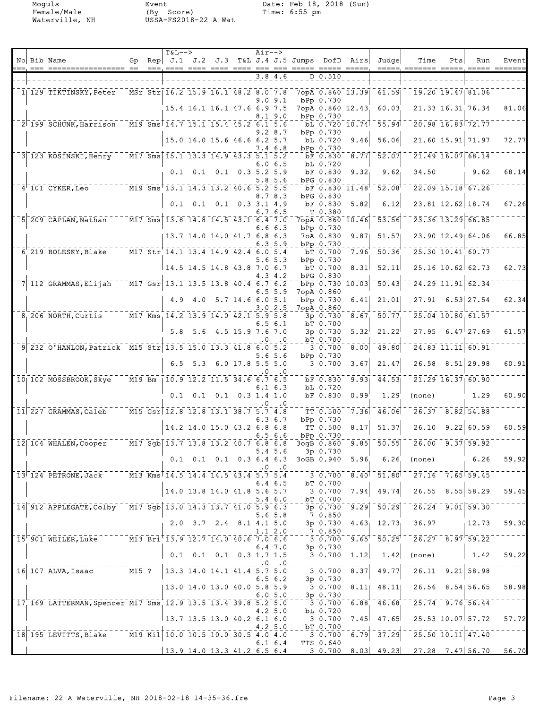Moguls Event Date: Feb 18, 2018 (Sun) Female/Male (By Score) Time: 6:55 pm Waterville, NH USSA-FS2018-22 A Wat

|  | No Bib Name                                                                                 | Gp |        | $T&L-->$                                                                                                  |                                                         |  | Air-->          |               | Rep $J.1$ J.2 J.3 T&L J.4 J.5 Jumps DofD Airs |                                                                |                   | Judge                                                | Time                                                                            | Pts | Run                                   | Event        |
|--|---------------------------------------------------------------------------------------------|----|--------|-----------------------------------------------------------------------------------------------------------|---------------------------------------------------------|--|-----------------|---------------|-----------------------------------------------|----------------------------------------------------------------|-------------------|------------------------------------------------------|---------------------------------------------------------------------------------|-----|---------------------------------------|--------------|
|  |                                                                                             |    | $== -$ |                                                                                                           | ==== ==== ==== ====.                                    |  |                 | 3.8 4.6       |                                               | D 0.510                                                        |                   | $\qquad \qquad \overline{\qquad \qquad }==-\equiv .$ | $=$ $=$ $=$ $=$                                                                 |     |                                       |              |
|  | 1  129 TIKTINSKY, Peter                                                                     |    |        | MSr Str 16.2 15.9 16.1 48.2 8.0 7.8                                                                       |                                                         |  |                 |               |                                               | 7opA 0.860 13.39                                               |                   | 61.59                                                |                                                                                 |     | 19.20 19.47 81.06                     |              |
|  |                                                                                             |    |        |                                                                                                           | 15.4 16.1 16.1 47.6 6.9 7.5                             |  |                 | 9.09.1        |                                               | bPp 0.730<br>7opA 0.860 12.43                                  |                   | 60.03                                                |                                                                                 |     | 21.33 16.31 76.34                     | 81.06        |
|  |                                                                                             |    |        |                                                                                                           |                                                         |  |                 | 8.1 9.0       |                                               | bPp 0.730                                                      |                   |                                                      |                                                                                 |     |                                       |              |
|  | $2^{\dagger}$ 199 SCHUNK, Harrison                                                          |    |        | M19 Sms 14.7 15.1 15.4 45.2 6.1 5.6                                                                       |                                                         |  |                 | 9.2 8.7       |                                               | bL 0.720 10.74<br>bPp 0.730                                    |                   | 55.94                                                |                                                                                 |     | 20.98 16.83 72.77                     |              |
|  |                                                                                             |    |        |                                                                                                           | 15.0 16.0 15.6 46.6 6.2 5.7                             |  |                 | 7.4 6.8       |                                               | bL 0.720<br>bPp 0.730                                          | 9.46              | 56.06                                                |                                                                                 |     | 21.60 15.91 71.97                     | <b>72.77</b> |
|  | 3 <sup>-123</sup> KOSINSKI, Henry                                                           |    |        | $\boxed{M17}$ Sms $\boxed{15.1}$ $\boxed{13.3}$ $\boxed{14.9}$ $\boxed{43.3}$ $\boxed{5.1}$ $\boxed{5.2}$ |                                                         |  |                 |               |                                               | bF 0.830                                                       | 8.77              | $\bar{5}\bar{2}\cdot 0\bar{7}$                       |                                                                                 |     | 21.49 16.07 68.14                     |              |
|  |                                                                                             |    |        |                                                                                                           | $0.1$ 0.1 0.1 0.3 5.2 5.9                               |  |                 | 6.06.5        |                                               | bL 0.720<br>bF 0.830                                           | 9.32 <sub>1</sub> | 9.62 <sub>1</sub>                                    | 34.50                                                                           |     | 9.62                                  | 68.14        |
|  | $4'$ 101 CYKER, Leo                                                                         |    |        | M19 Sms 13.1 14.3 13.2 40.6 5.2 5.5                                                                       |                                                         |  |                 | 5.8 5.6       |                                               | bPG 0.830<br>bF 0.830 11.48                                    |                   | 52.08                                                |                                                                                 |     | 22.09 15.18 67.26                     |              |
|  |                                                                                             |    |        |                                                                                                           |                                                         |  |                 | 8.78.3        |                                               | bPG 0.830<br>bF 0.830                                          |                   |                                                      |                                                                                 |     |                                       | 67.26        |
|  |                                                                                             |    |        |                                                                                                           | $0.1 \quad 0.1 \quad 0.1 \quad 0.3 \quad 3.1 \quad 4.9$ |  |                 | 6.76.5        |                                               | T0.380                                                         | 5.82              | 6.12                                                 |                                                                                 |     | 23.81 12.62 18.74                     |              |
|  | 5 <sup>-209</sup> CAPLAN, Nathan                                                            |    |        | $\boxed{$ M17 Sms $\boxed{13.8}$ $\boxed{14.8}$ $\boxed{14.5}$ $\boxed{43.1}$ $\boxed{6.4}$ $\boxed{7.0}$ |                                                         |  |                 | 6.66.3        |                                               | $7$ opA $0.860$ $10.46$<br>bPp 0.730                           |                   | 53.56                                                |                                                                                 |     | $23.36$ $13.29$ 66.85                 |              |
|  |                                                                                             |    |        |                                                                                                           | 13.7 14.0 14.0 41.7 6.8 6.3                             |  |                 | 6.35.9        |                                               | 7oA 0.830<br>bPp 0.730                                         | 9.87              | 51.57                                                |                                                                                 |     | 23.90 12.49 64.06                     | 66.85        |
|  | 6 219 BOLESKY, Blake                                                                        |    |        | M17 Str 14.1 13.4 14.9 42.4 6.0 5.4                                                                       |                                                         |  |                 |               |                                               | bT 0.700                                                       | 7.96              | $\bar{50} - \bar{36}$                                |                                                                                 |     | 25.30 10.41 60.77                     |              |
|  |                                                                                             |    |        |                                                                                                           | 14.5 14.5 14.8 43.8 7.0 6.7                             |  |                 | $5.6\,5.3$    |                                               | bPp 0.730<br>bT 0.700                                          | 8.31              | 52.11                                                |                                                                                 |     | 25.16 10.62 62.73                     | 62.73        |
|  | $7$ $112$ GRAMMAS, Elijah                                                                   |    |        | $\sqrt{17}$ Gsr 13.1 13.5 13.8 40.4 6.7 6.2                                                               |                                                         |  |                 | 4.3 4.2       |                                               | bPG 0.830<br>bPp 0.730 10.03                                   |                   | $\bar{50}$ , $\bar{43}$                              |                                                                                 |     | 24.29 11.91 62.34                     |              |
|  |                                                                                             |    |        |                                                                                                           |                                                         |  |                 | 6.55.9        |                                               | 7opA 0.860                                                     |                   |                                                      |                                                                                 |     |                                       |              |
|  |                                                                                             |    |        |                                                                                                           | 4.9 4.0 5.7 14.6 6.0 5.1                                |  |                 | 3.0 2.5       |                                               | bPp 0.730<br>7opA 0.860                                        | 6.41              | 21.01                                                |                                                                                 |     | 27.91 6.53 27.54                      | 62.34        |
|  | 8, 206 NORTH, Curtis                                                                        |    |        | M17 Kms 14.2 13.9 14.0 42.1 5.9 5.8                                                                       |                                                         |  |                 | 6.56.1        |                                               | 3p 0.730<br>bT 0.700                                           | 8.67              | 50.77                                                |                                                                                 |     | 25.04 10.80 61.57                     |              |
|  |                                                                                             |    |        |                                                                                                           | 5.8 5.6 4.5 15.9 7.6 7.0                                |  |                 |               |                                               | 3p 0.730                                                       | 5.32 <sup>1</sup> | 21.22                                                | 27.95                                                                           |     | $6.47$ <sup><math>127.69</math></sup> | 61.57        |
|  | 9 232 O'HANLON, Patrick M15 Str 13.5 15.0 13.3 41.8 6.0 5.2                                 |    |        |                                                                                                           |                                                         |  | . 0             | .0            |                                               | bT 0.700<br>3 0.700                                            | $\sqrt{8.00}$     | 49.80                                                |                                                                                 |     | 24.83 11.11 60.91                     |              |
|  |                                                                                             |    |        |                                                                                                           | 6.5 5.3 6.0 17.8 5.5 5.0                                |  |                 | 5.6 5.6       |                                               | bPp 0.730<br>3 0.700                                           | 3.67              | 21.47                                                |                                                                                 |     | $26.58$ $8.51$ 29.98                  | 60.91        |
|  | 10 102 MOSSBROOK, Skye                                                                      |    |        | M19 Bm   10.9 12.2 11.5 34.6 6.7 6.5                                                                      |                                                         |  | . 0             | .0            |                                               | bF 0.830                                                       | 9.93              | 44.53                                                |                                                                                 |     | 21.29 16.37 60.90                     |              |
|  |                                                                                             |    |        |                                                                                                           |                                                         |  |                 | $6.1\,6.3$    |                                               | bL 0.720                                                       |                   |                                                      |                                                                                 |     |                                       |              |
|  |                                                                                             |    |        |                                                                                                           | $0.1$ $0.1$ $0.1$ $0.3$ $1.4$ $1.0$                     |  | . 0             | $\cdot$ .0    |                                               | bF 0.830                                                       | 0.99              | 1.29                                                 | (none)                                                                          |     | 1.29                                  | 60.90        |
|  | 11 227 GRAMMAS, Caleb                                                                       |    |        | M15 Gsr 12.8 12.8 13.1 38.7 5.7 4.8                                                                       |                                                         |  |                 | $6.3\;6.7$    |                                               | TT 0.500<br>bPp 0.730                                          | 7.36              | $-46.06$                                             |                                                                                 |     | 26.37 8.82 54.88                      |              |
|  |                                                                                             |    |        |                                                                                                           | 14.2 14.0 15.0 43.2 6.8 6.8                             |  |                 |               |                                               | TT 0.500                                                       | 8.17              | 51.37                                                | 26.10                                                                           |     | 9.22   60.59                          | 60.59        |
|  | 12 104 WHALEN, Cooper                                                                       |    |        | M17 Sgb 13.7 13.8 13.2 40.7 6.8 6.8                                                                       |                                                         |  |                 | 6.5 6.6       |                                               | bPp 0.730<br>3ogB 0.860                                        | 9.85              | 50.55                                                | 26.00                                                                           |     | $9.37$ 59.92                          |              |
|  |                                                                                             |    |        |                                                                                                           | $0.1$ 0.1 0.1 0.3 6.4 6.3                               |  | $\vert 5.4$ 5.6 |               |                                               | 3p 0.730<br>3oGB 0.940                                         | 5.96              | 6.26                                                 | (none)                                                                          |     | 6.26                                  | 59.92        |
|  | 13 124 PETRONE, Jack M13 Kms 14.5 14.4 14.5 43.4 5.7 5.4                                    |    |        |                                                                                                           |                                                         |  |                 | $.0 \quad .0$ |                                               |                                                                |                   |                                                      | $\frac{-27.16}{7.65}$ 59.45                                                     |     |                                       |              |
|  |                                                                                             |    |        |                                                                                                           |                                                         |  |                 | 6.46.5        |                                               | 3 0.700<br>bT 0.700                                            |                   | $8.40$ <sup>-</sup> $51.80$ <sup>-</sup>             |                                                                                 |     |                                       |              |
|  |                                                                                             |    |        |                                                                                                           | 14.0 13.8 14.0 41.8 5.6 5.7                             |  |                 | 5.46.0        |                                               | 30.700<br>bT 0.700                                             | 7.94              | 49.74                                                |                                                                                 |     | $26.55$ $8.55$ 58.29                  | 59.45        |
|  | 14 912 APPLEGATE, Colby M17 Sgb 13.0 14.3 13.7 41.0 5.9 6.3                                 |    |        |                                                                                                           |                                                         |  |                 | $5.6\,5.8$    |                                               | $3p \t0.730 \t9.29$<br>70.850                                  |                   | - 50.29                                              | $-26.24 - 9.01$ 59.30                                                           |     |                                       |              |
|  |                                                                                             |    |        |                                                                                                           | $2.0$ $3.7$ $2.4$ $8.1$ $4.1$ $5.0$                     |  |                 |               |                                               | 3p 0.730                                                       | 4.63 <sub>1</sub> | 12.73                                                | 36.97                                                                           |     | 12.73                                 | 59.30        |
|  | $\frac{1}{15}$ 901 WEILER, Luke $\frac{1}{13}$ Bri 13.9 12.7 14.0 40.6 7.0 6.6              |    |        |                                                                                                           |                                                         |  |                 | 1.12.0        |                                               | 7 0.850<br>3 0.700                                             |                   |                                                      | $-9.65$ <sup>+</sup> $-50.25$ <sup>+ - -</sup> 26.27 $-8.97$ <sup>1</sup> 59.22 |     |                                       |              |
|  |                                                                                             |    |        |                                                                                                           | $0.1$ 0.1 0.1 0.3 1.7 1.5                               |  |                 | 6.47.0        |                                               | $3p \t0.730$<br>3 0.700                                        | 1.12              | 1.42                                                 | (none)                                                                          |     | $\vert 1.42 \vert$                    | 59.22        |
|  | $\frac{1}{16}$ 107 ALVA, Isaac $\frac{1}{16}$ 115 ? $\frac{1}{13.3}$ 14.0 14.1 41.4 5.7 5.0 |    |        |                                                                                                           |                                                         |  |                 | $.0 \quad .0$ |                                               |                                                                |                   |                                                      |                                                                                 |     |                                       |              |
|  |                                                                                             |    |        |                                                                                                           |                                                         |  |                 | 6.56.2        |                                               | $  \frac{1}{3}$ $ \frac{1}{0}$ $\frac{1}{700}$<br>$3p \t0.730$ | $\overline{8.37}$ | 49.77                                                |                                                                                 |     | $26.11 - 9.21$ 58.98                  |              |
|  |                                                                                             |    |        | 13.0 14.0 13.0 40.0 5.8 5.9                                                                               |                                                         |  |                 | 6.05.0        |                                               | 3 0.700<br>3p 0.730                                            | 8.11              |                                                      | 48.11 26.56 8.54 56.65                                                          |     |                                       | 58.98        |
|  | 17 169 LATTERMAN, Spencer M17 Sms 12.9 13.5 13.4 39.8 5.2 5.0                               |    |        |                                                                                                           |                                                         |  |                 |               |                                               | 3 0.700                                                        |                   |                                                      | $6.88$ $46.68$ $25.74$ $9.76$ 56.44                                             |     |                                       |              |
|  |                                                                                             |    |        | $\vert$ 13.7 13.5 13.0 40.2 6.1 6.0                                                                       |                                                         |  |                 | 4.25.0        |                                               | bL 0.720<br>3 0.700                                            | 7.45              |                                                      | $47.65$ 25.53 10.07 57.72                                                       |     |                                       | 57.72        |
|  | $\mid$ 18 $\mid$ 195 LEVITTS, Blake $^{-}$ - M19 Kil $\mid$ 10.0 10.5 10.0 30.5 4.0 4.0     |    |        |                                                                                                           |                                                         |  |                 | 4.25.0        |                                               | bT 0.700<br>3 0.700                                            |                   | $-6.79 - 37.29$                                      | $-$ 25.50 10.11 47.40                                                           |     |                                       |              |
|  |                                                                                             |    |        | 13.914.013.341.2 6.56.4                                                                                   |                                                         |  |                 | 6.1 6.4       |                                               | <b>TTS 0.640</b>                                               |                   |                                                      | 3 0.700 8.03 49.23 27.28 7.47 56.70 56.70                                       |     |                                       |              |
|  |                                                                                             |    |        |                                                                                                           |                                                         |  |                 |               |                                               |                                                                |                   |                                                      |                                                                                 |     |                                       |              |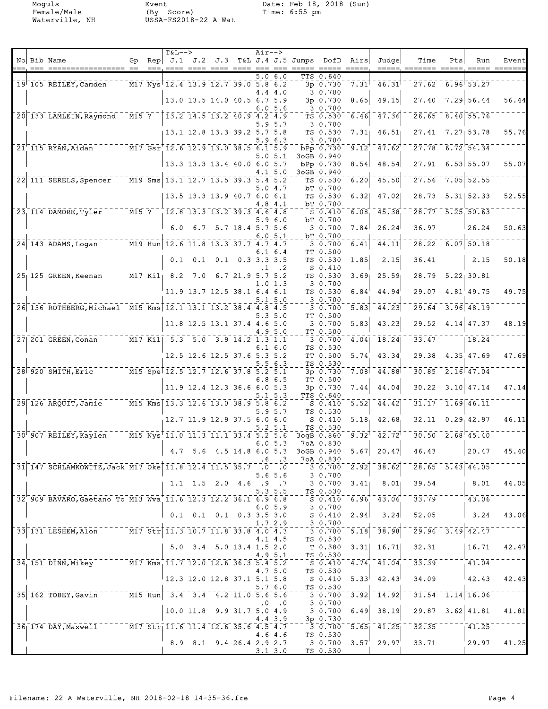Moguls Event Date: Feb 18, 2018 (Sun) Female/Male (By Score) Time: 6:55 pm Waterville, NH USSA-FS2018-22 A Wat

|  | No Bib Name                                                   | Gp                               | $T&L-->$                                                                                                                    |                                      | Air--> |                     | Rep $J.1$ J.2 J.3 T&L J.4 J.5 Jumps DofD Airs |                                    |                     | Judge                | Time                                                                                                                                                                                             | Pts | Run                         | Event |
|--|---------------------------------------------------------------|----------------------------------|-----------------------------------------------------------------------------------------------------------------------------|--------------------------------------|--------|---------------------|-----------------------------------------------|------------------------------------|---------------------|----------------------|--------------------------------------------------------------------------------------------------------------------------------------------------------------------------------------------------|-----|-----------------------------|-------|
|  | $19^{\dagger}$ 105 REILEY, Camden                             |                                  | $\overline{M17}$ Nys <sup><math>\overline{12.4}</math></sup> 13.9 12.7 39.0 5.8 6.2                                         |                                      |        | 5.0 6.0<br>4.4 4.0  |                                               | TTS 0.640<br>3p 0.730<br>3 0.700   | $7.31$ <sup>T</sup> | 46.31                | 27.62                                                                                                                                                                                            |     | 6.96 53.27                  |       |
|  |                                                               |                                  |                                                                                                                             | $13.0$ 13.5 14.0 40.5 6.7 5.9        |        | 6.0 5.6             |                                               | 3p 0.730<br>3 0.700                | 8.65                | 49.15                | 27.40                                                                                                                                                                                            |     | 7.29 56.44                  | 56.44 |
|  | 20 133 LAMLEIN, Raymond                                       | $ \overline{M15}$ $\overline{?}$ | $\begin{bmatrix} 13.2 & 14.5 & 13.2 & 40.9 & 4.2 & 4.9 \end{bmatrix}$                                                       |                                      |        | 5.95.7              |                                               | TS 0.530<br>3 0.700                | 6.46                | 47.36                | $26.65 - 8.40$ 55.76                                                                                                                                                                             |     |                             |       |
|  |                                                               |                                  | $13.1$ 12.8 13.3 39.2 5.7 5.8                                                                                               |                                      |        | 5.9 6.3             |                                               | TS 0.530<br>3 0.700                | 7.31                | 46.51                | $27.41$ $7.27$ 53.78                                                                                                                                                                             |     |                             | 55.76 |
|  | 21 115 RYAN, Aidan M17 Gsr 12.6 12.9 13.0 38.5 6.1 5.9        |                                  |                                                                                                                             |                                      |        | 5.05.1              |                                               | bPp 0.730<br>3oGB 0.940            | 9.12                | $47.62$ <sup>+</sup> | $\overline{27.78}$                                                                                                                                                                               |     | $-6.72$ $54.34$             |       |
|  |                                                               |                                  | $13.3$ 13.3 13.4 40.0 6.0 5.7                                                                                               |                                      |        | 4.1 5.0             |                                               | bPp 0.730<br>3oGB 0.940            | 8.54                | 48.54                | 27.91                                                                                                                                                                                            |     | $6.53$ 55.07                | 55.07 |
|  | 22 111 SERELS, Spencer                                        |                                  | $\overline{M19}$ Sms 13.1 12.7 13.5 39.3 5.4 5.2                                                                            |                                      |        | 5.0 4.7             |                                               | TS 0.530<br>bT 0.700               | 6.20                | 45.50                | 27.56                                                                                                                                                                                            |     | $7.05$ $52.55$              |       |
|  |                                                               |                                  |                                                                                                                             | 13.5 13.3 13.9 40.7 6.0 6.1          |        | 4.8 4.1             |                                               | TS 0.530<br>bT 0.700               | 6.32                | 47.02                | 28.73                                                                                                                                                                                            |     | $5.31$ $52.33$              | 52.55 |
|  | 23, 114 DAMORE, Tyler                                         | $ \overline{M15}$ ?              | $12.8$ 13.3 13.2 39.3 4.6 4.8                                                                                               |                                      |        | 5.9 6.0             |                                               | $S_0.410$<br>bT 0.700              | 6.08                | 45.38                | $28.77 - 5.25$ 50.63                                                                                                                                                                             |     |                             |       |
|  |                                                               |                                  |                                                                                                                             | 6.0 6.7 5.7 18.4 5.7 5.6             |        | 6.05.1              |                                               | 3 0.700<br>bT 0.700                | 7.84 <sup>†</sup>   | 26.24                | 36.97                                                                                                                                                                                            |     | 26.24                       | 50.63 |
|  | $24$ 143 ADAMS, Logan                                         |                                  | $\overline{119}$ Hun 12.6 11.8 13.3 37.7 4.7 4.7                                                                            |                                      |        | 6.1 6.4             |                                               | 3 0.700<br>TT 0.500                | 6.41                | 44.11                | 28.22                                                                                                                                                                                            |     | 6.0750.18                   |       |
|  |                                                               |                                  |                                                                                                                             | $0.1$ 0.1 0.1 0.3 3.3 3.5            |        | $\cdot$ 2           |                                               | TS 0.530<br>$S_0.410$              | 1.85                | 2.15                 | 36.41                                                                                                                                                                                            |     | 2.15                        | 50.18 |
|  | $251125$ GREEN, Keenan                                        |                                  | $M17$ Kil <sub>l</sub> 8.2 7.0 6.7 21.9 5.7 5.2                                                                             |                                      |        | 1.0 1.3             |                                               | $TS$ $0.530$<br>3 0.700            | 3.69                | 25.59                | $28.79 - 5.22$ 30.81                                                                                                                                                                             |     |                             |       |
|  |                                                               |                                  |                                                                                                                             | $11.9$ 13.7 12.5 38.1 6.4 6.1        |        | 5.15.0              |                                               | TS 0.530<br>3 0.700                | 6.84                | 44.94                | $29.07$ $4.81$ <sup>'</sup> $49.75$                                                                                                                                                              |     |                             | 49.75 |
|  | 26 136 ROTHBERG, Michael M15 Kms 12.1 13.1 13.2 38.4 4.8 4.5  |                                  |                                                                                                                             |                                      |        | 5.3 5.0             |                                               | 3 0.700<br>TT 0.500                | 5.83                | 44.23                | 29.64                                                                                                                                                                                            |     | $3.96$ 48.19                |       |
|  |                                                               |                                  |                                                                                                                             | $11.8$ 12.5 13.1 37.4 4.6 5.0        |        | 4.9 5.0             |                                               | 3 0.700<br>TT 0.500                | 5.83                | 43.23                | 29.52 4.14 47.37                                                                                                                                                                                 |     |                             | 48.19 |
|  | 27 201 GREEN, Conan                                           |                                  | $\overline{M17}$ Kil $\overline{5.3}$ $\overline{5.0}$ $\overline{3.9}$ $\overline{14.2}$ $\overline{1.3}$ $\overline{1.1}$ |                                      |        | $6.1\,6.0$          |                                               | 3 0.700<br>TS 0.530                | 4.04                | 18.24                | 33.47                                                                                                                                                                                            |     | 18.24                       |       |
|  |                                                               |                                  |                                                                                                                             | 12.5 12.6 12.5 37.6 5.3 5.2          |        | 5.56.3              |                                               | TT 0.500<br>TS 0.530               | 5.74                | 43.34                | 29.38                                                                                                                                                                                            |     | 4.35 47.69                  | 47.69 |
|  | 28 920 SMITH, Eric M15 Spe 12.5 12.7 12.6 37.8 5.2 5.1        |                                  |                                                                                                                             |                                      |        | 6.8 6.5             |                                               | 3p 0.730<br>TT 0.500               | 7.08                | $-44.88$             | 30.85                                                                                                                                                                                            |     | $\frac{-}{2.16}$ 47.04      |       |
|  | 29 126 ARQUIT, Jamie                                          |                                  | M15 Kms 13.3 12.6 13.0 38.9 5.8 6.2                                                                                         | 11.9 12.4 12.3 36.6 6.0 5.3          |        | .15.3               |                                               | 3p 0.730<br><b>TTS 0.640</b>       | 7.44<br>5.52        | 44.04<br>44.42       | 30.22<br>31.17                                                                                                                                                                                   |     | 3.10 47.14<br>$-1.69$ 46.11 | 47.14 |
|  |                                                               |                                  |                                                                                                                             | $12.7$ 11.9 12.9 37.5 6.0 6.0        |        | 5.95.7              |                                               | $S_0.410$<br>TS 0.530<br>$S_0.410$ | 5.18                | 42.68                | 32.11                                                                                                                                                                                            |     | 0.29, 42.97                 | 46.11 |
|  | 30 907 REILEY, Kaylen                                         |                                  | M15 Nys <sup>[11.0</sup> 11.3 11.1 33.4 5.2 5.6                                                                             |                                      |        | 5.25.1              |                                               | TS 0.530<br>3ogB 0.860             | $9.32^{\circ}$      | $42.72^{\circ}$      | $30.50$ $2.68$ 45.40                                                                                                                                                                             |     |                             |       |
|  |                                                               |                                  | $\begin{vmatrix} 4.7 & 5.6 & 4.5 & 14.8 & 6.0 & 5.3 \end{vmatrix}$                                                          |                                      |        | 6.05.3              | 3oGB 0.940                                    | 7oA 0.830                          |                     | $5.67$ 20.47         | 46.43                                                                                                                                                                                            |     | 20.47                       | 45.40 |
|  | 31 147 SCHLAMKOWITZ, Jack M17 Oke 11.8 12.4 11.5 35.7 .0 .0   |                                  |                                                                                                                             |                                      |        | $\cdot$ 6 $\cdot$ 3 |                                               | 7oA 0.830<br>30.700                | 2.92                | 38.62                | $\sqrt{28.65}$ $\sqrt{5.43}$ $\sqrt{44.05}$                                                                                                                                                      |     |                             |       |
|  |                                                               |                                  |                                                                                                                             | 1.1 1.5 2.0 4.6 .9 .7                |        | 5.65.6              |                                               | 3 0.700<br>30.700                  | 3.41                | 8.01                 | 39.54                                                                                                                                                                                            |     | 8.01                        | 44.05 |
|  | 32 909 BAVARO, Gaetano To M13 Wva 11.6 12.3 12.2 36.1 6.9 6.8 |                                  |                                                                                                                             |                                      |        | 5.35.5              |                                               | TS 0.530<br>$S = 0.410$            | 6.96                |                      | $43.06^{1-1}$ $33.79$ $100$ $43.06$                                                                                                                                                              |     |                             |       |
|  |                                                               |                                  |                                                                                                                             | $0.1$ 0.1 0.1 0.3 3.5 3.0            |        | 6.05.9              |                                               | 3 0.700<br>$S_0.410$               | 2.94                | 3.24                 | 52.05                                                                                                                                                                                            |     | 3.24                        | 43.06 |
|  | 33 131 LESHEM, Alon M17 Str 11.3 10.7 11.8 33.8 4.0 4.3       |                                  |                                                                                                                             |                                      |        | 1.72.9              |                                               | $-2 - 3 - 0.700$<br>3 0.700        | 5.18                | 38.98                | $\overline{29.96}$ $\overline{3.49}$ $\overline{42.47}$                                                                                                                                          |     |                             |       |
|  |                                                               |                                  |                                                                                                                             | $5.0$ $3.4$ $5.0$ $13.4$ $1.5$ $2.0$ |        | 4.1 4.5             |                                               | TS 0.530<br>T 0.380                | 3.31                | 16.71                | 32.31                                                                                                                                                                                            |     | 16.71                       | 42.47 |
|  | 34, 151 DINN, Mikey M17 Kms, 11.7 12.0 12.6 36.3, 5.4 5.2     |                                  |                                                                                                                             |                                      |        | 4.95.1              |                                               | $T = 25 - 0.530$                   |                     |                      | $-5.0.410 - 4.74 - 41.04 - 33.39$                                                                                                                                                                |     |                             |       |
|  |                                                               |                                  | $\frac{1}{2}$ 12.3 12.0 12.8 37.1 5.1 5.8                                                                                   |                                      |        | 4.75.0              |                                               | TS 0.530<br>$S_0.410$              | 5.33                | 42.43                | $34.09$ $42.43$                                                                                                                                                                                  |     |                             | 42.43 |
|  | 35 162 TOBEY, Gavin M15 Hun 3.4 3.4 4.2 11.0 5.6 5.6          |                                  |                                                                                                                             |                                      |        | 5.76.0              |                                               | $-125 - 0.530$<br>3 0.700          | 3.92                |                      | $\left[1\overline{4}\cdot\overline{9}2\right]$ $\left[3\overline{1}\cdot\overline{5}4\right]$ $\left[1\overline{1}\overline{4}\right]$ $\left[1\overline{6}\cdot\overline{0}\overline{6}\right]$ |     |                             |       |
|  |                                                               |                                  |                                                                                                                             | $10.0$ 11.8 9.9 31.7 5.0 4.9         |        | $.0 \quad .0$       |                                               | 3 0.700<br>3 0.700                 | 6.49                | 38.19                | 29.87 3.62 41.81                                                                                                                                                                                 |     |                             | 41.81 |
|  | 36 174 DAY, Maxwell M17 Str 11.6 11.4 12.6 35.6 4.5 4.7       |                                  |                                                                                                                             |                                      |        | 4.4 3.9             |                                               | $-3p$ 0.730                        |                     |                      | $\frac{1}{3}$ $\frac{1}{0}$ , $\frac{700}{5}$ $\frac{5}{65}$ $\frac{65}{41}$ , $\frac{25}{25}$ $\frac{25}{32}$ , $\frac{35}{35}$ $\frac{1}{1}$ , $\frac{1}{41}$ , $\frac{25}{25}$                |     |                             |       |
|  |                                                               |                                  |                                                                                                                             | $8.9$ $8.1$ $9.4$ $26.4$ $2.9$ $2.7$ |        | 4.6 4.6             |                                               | TS 0.530<br>3 0.700                | 3.57'               | 29.97                | 33.71                                                                                                                                                                                            |     | '29.97                      | 41.25 |
|  |                                                               |                                  |                                                                                                                             |                                      |        | 3.13.0              |                                               | <u>TS 0.530</u>                    |                     |                      |                                                                                                                                                                                                  |     |                             |       |